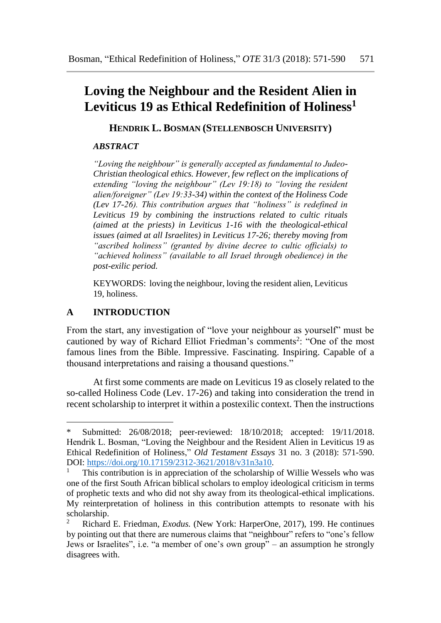# **Loving the Neighbour and the Resident Alien in Leviticus 19 as Ethical Redefinition of Holiness<sup>1</sup>**

**HENDRIK L. BOSMAN (STELLENBOSCH UNIVERSITY)**

## *ABSTRACT*

*"Loving the neighbour" is generally accepted as fundamental to Judeo-Christian theological ethics. However, few reflect on the implications of extending "loving the neighbour" (Lev 19:18) to "loving the resident alien/foreigner" (Lev 19:33-34) within the context of the Holiness Code (Lev 17-26). This contribution argues that "holiness" is redefined in Leviticus 19 by combining the instructions related to cultic rituals (aimed at the priests) in Leviticus 1-16 with the theological-ethical issues (aimed at all Israelites) in Leviticus 17-26; thereby moving from "ascribed holiness" (granted by divine decree to cultic officials) to "achieved holiness" (available to all Israel through obedience) in the post-exilic period.* 

KEYWORDS: loving the neighbour, loving the resident alien, Leviticus 19, holiness.

## **A INTRODUCTION**

 $\overline{a}$ 

From the start, any investigation of "love your neighbour as yourself" must be cautioned by way of Richard Elliot Friedman's comments<sup>2</sup>: "One of the most famous lines from the Bible. Impressive. Fascinating. Inspiring. Capable of a thousand interpretations and raising a thousand questions."

At first some comments are made on Leviticus 19 as closely related to the so-called Holiness Code (Lev. 17-26) and taking into consideration the trend in recent scholarship to interpret it within a postexilic context. Then the instructions

Submitted: 26/08/2018; peer-reviewed: 18/10/2018; accepted: 19/11/2018. Hendrik L. Bosman, "Loving the Neighbour and the Resident Alien in Leviticus 19 as Ethical Redefinition of Holiness," *Old Testament Essays* 31 no. 3 (2018): 571-590. DOI: [https://doi.org/10.17159/2312-3621/2018/v31n3a10.](https://doi.org/10.17159/2312-3621/2018/v31n3a10)

<sup>1</sup> This contribution is in appreciation of the scholarship of Willie Wessels who was one of the first South African biblical scholars to employ ideological criticism in terms of prophetic texts and who did not shy away from its theological-ethical implications. My reinterpretation of holiness in this contribution attempts to resonate with his scholarship.<br><sup>2</sup> Richard

<sup>2</sup> Richard E. Friedman, *Exodus.* (New York: HarperOne, 2017), 199. He continues by pointing out that there are numerous claims that "neighbour" refers to "one's fellow Jews or Israelites", i.e. "a member of one's own group" – an assumption he strongly disagrees with.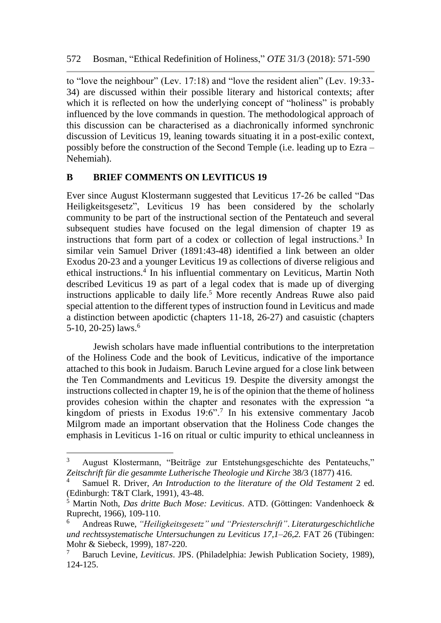to "love the neighbour" (Lev. 17:18) and "love the resident alien" (Lev. 19:33- 34) are discussed within their possible literary and historical contexts; after which it is reflected on how the underlying concept of "holiness" is probably influenced by the love commands in question. The methodological approach of this discussion can be characterised as a diachronically informed synchronic discussion of Leviticus 19, leaning towards situating it in a post-exilic context, possibly before the construction of the Second Temple (i.e. leading up to Ezra – Nehemiah).

## **B BRIEF COMMENTS ON LEVITICUS 19**

l

Ever since August Klostermann suggested that Leviticus 17-26 be called "Das Heiligkeitsgesetz", Leviticus 19 has been considered by the scholarly community to be part of the instructional section of the Pentateuch and several subsequent studies have focused on the legal dimension of chapter 19 as instructions that form part of a codex or collection of legal instructions.<sup>3</sup> In similar vein Samuel Driver (1891:43-48) identified a link between an older Exodus 20-23 and a younger Leviticus 19 as collections of diverse religious and ethical instructions.<sup>4</sup> In his influential commentary on Leviticus, Martin Noth described Leviticus 19 as part of a legal codex that is made up of diverging instructions applicable to daily life.<sup>5</sup> More recently Andreas Ruwe also paid special attention to the different types of instruction found in Leviticus and made a distinction between apodictic (chapters 11-18, 26-27) and casuistic (chapters 5-10, 20-25) laws.<sup>6</sup>

Jewish scholars have made influential contributions to the interpretation of the Holiness Code and the book of Leviticus, indicative of the importance attached to this book in Judaism. Baruch Levine argued for a close link between the Ten Commandments and Leviticus 19. Despite the diversity amongst the instructions collected in chapter 19, he is of the opinion that the theme of holiness provides cohesion within the chapter and resonates with the expression "a kingdom of priests in Exodus 19:6".<sup>7</sup> In his extensive commentary Jacob Milgrom made an important observation that the Holiness Code changes the emphasis in Leviticus 1-16 on ritual or cultic impurity to ethical uncleanness in

<sup>3</sup> August Klostermann, "Beiträge zur Entstehungsgeschichte des Pentateuchs," *Zeitschrift für die gesammte Lutherische Theologie und Kirche* 38/3 (1877) 416.

<sup>4</sup> Samuel R. Driver, *An Introduction to the literature of the Old Testament* 2 ed. (Edinburgh: T&T Clark, 1991), 43-48.

<sup>5</sup> Martin Noth, *Das dritte Buch Mose: Leviticus*. ATD. (Göttingen: Vandenhoeck & Ruprecht, 1966), 109-110.

<sup>6</sup> Andreas Ruwe, *"Heiligkeitsgesetz" und "Priesterschrift"*. *Literaturgeschichtliche und rechtssystematische Untersuchungen zu Leviticus 17,1–26,2.* FAT 26 (Tübingen: Mohr & Siebeck, 1999), 187-220.

<sup>7</sup> Baruch Levine, *Leviticus*. JPS. (Philadelphia: Jewish Publication Society, 1989), 124-125.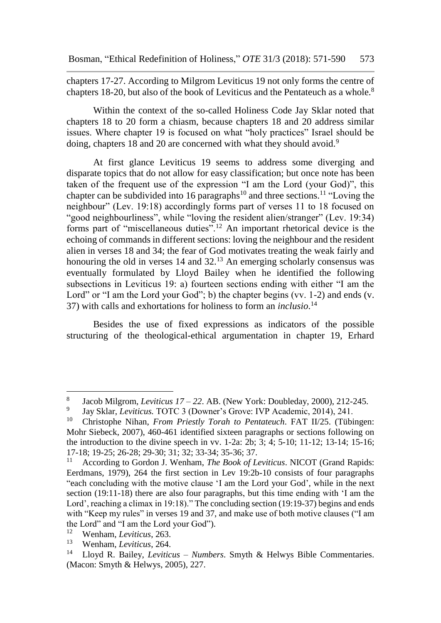chapters 17-27. According to Milgrom Leviticus 19 not only forms the centre of chapters 18-20, but also of the book of Leviticus and the Pentateuch as a whole.<sup>8</sup>

Within the context of the so-called Holiness Code Jay Sklar noted that chapters 18 to 20 form a chiasm, because chapters 18 and 20 address similar issues. Where chapter 19 is focused on what "holy practices" Israel should be doing, chapters 18 and 20 are concerned with what they should avoid.<sup>9</sup>

At first glance Leviticus 19 seems to address some diverging and disparate topics that do not allow for easy classification; but once note has been taken of the frequent use of the expression "I am the Lord (your God)", this chapter can be subdivided into 16 paragraphs<sup>10</sup> and three sections.<sup>11</sup> "Loving the neighbour" (Lev. 19:18) accordingly forms part of verses 11 to 18 focused on "good neighbourliness", while "loving the resident alien/stranger" (Lev. 19:34) forms part of "miscellaneous duties".<sup>12</sup> An important rhetorical device is the echoing of commands in different sections: loving the neighbour and the resident alien in verses 18 and 34; the fear of God motivates treating the weak fairly and honouring the old in verses 14 and 32.<sup>13</sup> An emerging scholarly consensus was eventually formulated by Lloyd Bailey when he identified the following subsections in Leviticus 19: a) fourteen sections ending with either "I am the Lord" or "I am the Lord your God"; b) the chapter begins (vv. 1-2) and ends (v. 37) with calls and exhortations for holiness to form an *inclusio*. 14

Besides the use of fixed expressions as indicators of the possible structuring of the theological-ethical argumentation in chapter 19, Erhard

<sup>8</sup> Jacob Milgrom, *Leviticus 17 – 22*. AB. (New York: Doubleday, 2000), 212-245.

<sup>9</sup> Jay Sklar, *Leviticus.* TOTC 3 (Downer's Grove: IVP Academic, 2014), 241.

<sup>10</sup> Christophe Nihan, *From Priestly Torah to Pentateuch*. FAT II/25. (Tübingen: Mohr Siebeck, 2007), 460-461 identified sixteen paragraphs or sections following on the introduction to the divine speech in vv. 1-2a: 2b; 3; 4; 5-10; 11-12; 13-14; 15-16; 17-18; 19-25; 26-28; 29-30; 31; 32; 33-34; 35-36; 37.

<sup>11</sup> According to Gordon J. Wenham, *The Book of Leviticus*. NICOT (Grand Rapids: Eerdmans, 1979), 264 the first section in Lev 19:2b-10 consists of four paragraphs "each concluding with the motive clause 'I am the Lord your God', while in the next section (19:11-18) there are also four paragraphs, but this time ending with 'I am the Lord', reaching a climax in 19:18)." The concluding section (19:19-37) begins and ends with "Keep my rules" in verses 19 and 37, and make use of both motive clauses ("I am the Lord" and "I am the Lord your God").<br> $\frac{12}{12}$  Workem *L* auttisus 263

<sup>12</sup> Wenham, *Leviticus*, 263.

<sup>13</sup> Wenham, *Leviticus*, 264.

<sup>14</sup> Lloyd R. Bailey, *Leviticus – Numbers*. Smyth & Helwys Bible Commentaries. (Macon: Smyth & Helwys, 2005), 227.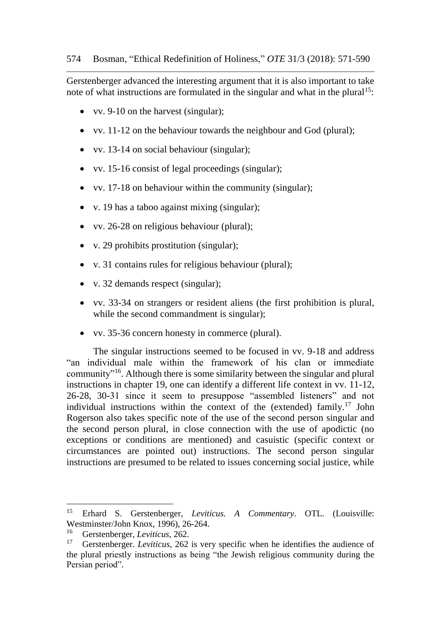Gerstenberger advanced the interesting argument that it is also important to take note of what instructions are formulated in the singular and what in the plural<sup>15</sup>:

- vv. 9-10 on the harvest (singular);
- vv. 11-12 on the behaviour towards the neighbour and God (plural);
- vv. 13-14 on social behaviour (singular);
- vv. 15-16 consist of legal proceedings (singular);
- vv. 17-18 on behaviour within the community (singular);
- v. 19 has a taboo against mixing (singular);
- vv. 26-28 on religious behaviour (plural);
- v. 29 prohibits prostitution (singular);
- v. 31 contains rules for religious behaviour (plural);
- v. 32 demands respect (singular);
- vv. 33-34 on strangers or resident aliens (the first prohibition is plural, while the second commandment is singular);
- vv. 35-36 concern honesty in commerce (plural).

The singular instructions seemed to be focused in vv. 9-18 and address "an individual male within the framework of his clan or immediate community"<sup>16</sup> . Although there is some similarity between the singular and plural instructions in chapter 19, one can identify a different life context in vv. 11-12, 26-28, 30-31 since it seem to presuppose "assembled listeners" and not individual instructions within the context of the (extended) family.<sup>17</sup> John Rogerson also takes specific note of the use of the second person singular and the second person plural, in close connection with the use of apodictic (no exceptions or conditions are mentioned) and casuistic (specific context or circumstances are pointed out) instructions. The second person singular instructions are presumed to be related to issues concerning social justice, while

<sup>15</sup> Erhard S. Gerstenberger, *Leviticus. A Commentary*. OTL. (Louisville: Westminster/John Knox, 1996), 26-264.<br> $\frac{16}{16}$  Carstanberger Leviticus 262

<sup>16</sup> Gerstenberger, *Leviticus*, 262.

<sup>17</sup> Gerstenberger. *Leviticus*, 262 is very specific when he identifies the audience of the plural priestly instructions as being "the Jewish religious community during the Persian period".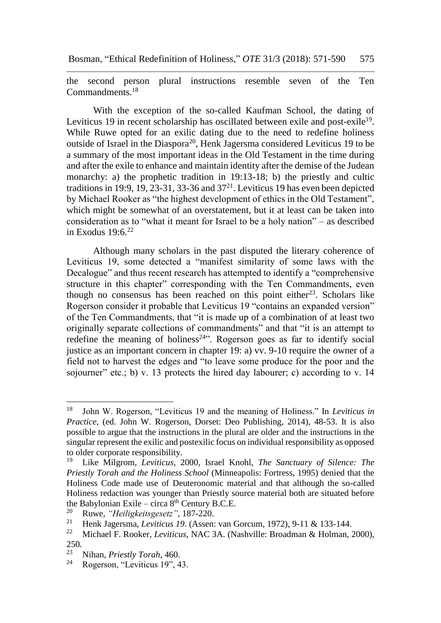the second person plural instructions resemble seven of the Ten Commandments.<sup>18</sup>

With the exception of the so-called Kaufman School, the dating of Leviticus 19 in recent scholarship has oscillated between exile and post-exile<sup>19</sup>. While Ruwe opted for an exilic dating due to the need to redefine holiness outside of Israel in the Diaspora<sup>20</sup>, Henk Jagersma considered Leviticus 19 to be a summary of the most important ideas in the Old Testament in the time during and after the exile to enhance and maintain identity after the demise of the Judean monarchy: a) the prophetic tradition in 19:13-18; b) the priestly and cultic traditions in 19:9, 19, 23-31, 33-36 and  $37<sup>21</sup>$ . Leviticus 19 has even been depicted by Michael Rooker as "the highest development of ethics in the Old Testament", which might be somewhat of an overstatement, but it at least can be taken into consideration as to "what it meant for Israel to be a holy nation" – as described in Exodus  $19.6$ <sup>22</sup>

Although many scholars in the past disputed the literary coherence of Leviticus 19, some detected a "manifest similarity of some laws with the Decalogue" and thus recent research has attempted to identify a "comprehensive structure in this chapter" corresponding with the Ten Commandments, even though no consensus has been reached on this point either<sup>23</sup>. Scholars like Rogerson consider it probable that Leviticus 19 "contains an expanded version" of the Ten Commandments, that "it is made up of a combination of at least two originally separate collections of commandments" and that "it is an attempt to redefine the meaning of holiness<sup>24"</sup>. Rogerson goes as far to identify social justice as an important concern in chapter 19: a) vv. 9-10 require the owner of a field not to harvest the edges and "to leave some produce for the poor and the sojourner" etc.; b) v. 13 protects the hired day labourer; c) according to v. 14

<sup>18</sup> <sup>18</sup> John W. Rogerson, "Leviticus 19 and the meaning of Holiness." In *Leviticus in Practice*, (ed. John W. Rogerson, Dorset: Deo Publishing, 2014), 48-53. It is also possible to argue that the instructions in the plural are older and the instructions in the singular represent the exilic and postexilic focus on individual responsibility as opposed to older corporate responsibility.

<sup>19</sup> Like Milgrom, *Leviticus*, 2000, Israel Knohl, *The Sanctuary of Silence: The Priestly Torah and the Holiness School* (Minneapolis: Fortress, 1995) denied that the Holiness Code made use of Deuteronomic material and that although the so-called Holiness redaction was younger than Priestly source material both are situated before the Babylonian Exile – circa  $8^{th}$  Century B.C.E.<br><sup>20</sup> Puwe *"Heiligkeitsgesetz"*, 187,220

<sup>20</sup> Ruwe, *"Heiligkeitsgesetz"*, 187-220.

<sup>21</sup> Henk Jagersma, *Leviticus 19*. (Assen: van Gorcum, 1972), 9-11 & 133-144.

<sup>22</sup> Michael F. Rooker, *Leviticus*, NAC 3A. (Nashville: Broadman & Holman, 2000), 250.

<sup>&</sup>lt;sup>23</sup> Nihan, *Priestly Torah*, 460.<br><sup>24</sup> Pogerson "Levitieus 10" *A* 

Rogerson, "Leviticus 19", 43.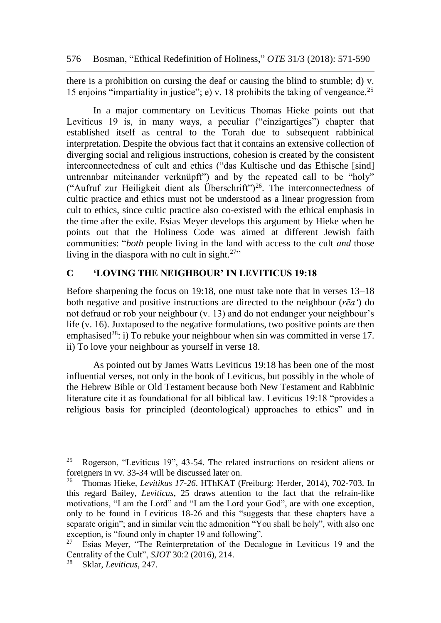there is a prohibition on cursing the deaf or causing the blind to stumble; d) v. 15 enjoins "impartiality in justice"; e) v. 18 prohibits the taking of vengeance.<sup>25</sup>

In a major commentary on Leviticus Thomas Hieke points out that Leviticus 19 is, in many ways, a peculiar ("einzigartiges") chapter that established itself as central to the Torah due to subsequent rabbinical interpretation. Despite the obvious fact that it contains an extensive collection of diverging social and religious instructions, cohesion is created by the consistent interconnectedness of cult and ethics ("das Kultische und das Ethische [sind] untrennbar miteinander verknüpft") and by the repeated call to be "holy" ("Aufruf zur Heiligkeit dient als Überschrift")<sup>26</sup>. The interconnectedness of cultic practice and ethics must not be understood as a linear progression from cult to ethics, since cultic practice also co-existed with the ethical emphasis in the time after the exile. Esias Meyer develops this argument by Hieke when he points out that the Holiness Code was aimed at different Jewish faith communities: "*both* people living in the land with access to the cult *and* those living in the diaspora with no cult in sight. $27$ "

## **C 'LOVING THE NEIGHBOUR' IN LEVITICUS 19:18**

Before sharpening the focus on 19:18, one must take note that in verses 13–18 both negative and positive instructions are directed to the neighbour (*rēaʻ*) do not defraud or rob your neighbour (v. 13) and do not endanger your neighbour's life (v. 16). Juxtaposed to the negative formulations, two positive points are then emphasised<sup>28</sup>: i) To rebuke your neighbour when sin was committed in verse 17. ii) To love your neighbour as yourself in verse 18.

As pointed out by James Watts Leviticus 19:18 has been one of the most influential verses, not only in the book of Leviticus, but possibly in the whole of the Hebrew Bible or Old Testament because both New Testament and Rabbinic literature cite it as foundational for all biblical law. Leviticus 19:18 "provides a religious basis for principled (deontological) approaches to ethics" and in

<sup>&</sup>lt;sup>25</sup> Rogerson, "Leviticus 19", 43-54. The related instructions on resident aliens or foreigners in vv. 33-34 will be discussed later on.

<sup>26</sup> Thomas Hieke, *Levitikus 17-26*. HThKAT (Freiburg: Herder, 2014), 702-703. In this regard Bailey, *Leviticus*, 25 draws attention to the fact that the refrain-like motivations, "I am the Lord" and "I am the Lord your God", are with one exception, only to be found in Leviticus 18-26 and this "suggests that these chapters have a separate origin"; and in similar vein the admonition "You shall be holy", with also one exception, is "found only in chapter 19 and following".<br><sup>27</sup> Esias Meyer, "The Reinterpretation of the Decal

<sup>27</sup> Esias Meyer, "The Reinterpretation of the Decalogue in Leviticus 19 and the Centrality of the Cult", *SJOT* 30:2 (2016), 214.

<sup>28</sup> Sklar, *Leviticus*, 247.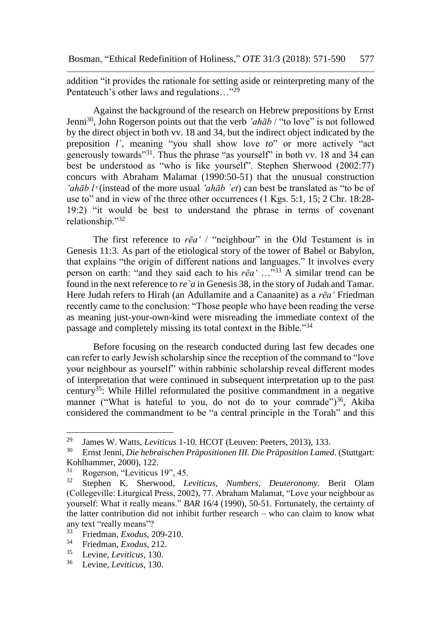addition "it provides the rationale for setting aside or reinterpreting many of the Pentateuch's other laws and regulations..."<sup>29</sup>

Against the background of the research on Hebrew prepositions by Ernst Jenni<sup>30</sup>, John Rogerson points out that the verb *'ahāb* / "to love" is not followed by the direct object in both vv. 18 and 34, but the indirect object indicated by the preposition *l`*, meaning "you shall show love *to*" or more actively "act generously towards"<sup>31</sup>. Thus the phrase "as yourself" in both vv. 18 and 34 can best be understood as "who is like yourself". Stephen Sherwood (2002:77) concurs with Abraham Malamat (1990:50-51) that the unusual construction *'ahāb l*<sup>*e*</sup>(instead of the more usual *'ahāb `et*) can best be translated as "to be of use to" and in view of the three other occurrences (1 Kgs. 5:1, 15; 2 Chr. 18:28- 19:2) "it would be best to understand the phrase in terms of covenant relationship."<sup>32</sup>

The first reference to *rēaʻ* / "neighbour" in the Old Testament is in Genesis 11:3. As part of the etiological story of the tower of Babel or Babylon, that explains "the origin of different nations and languages." It involves every person on earth: "and they said each to his *rēaʻ* …"<sup>33</sup> A similar trend can be found in the next reference to *re`a* in Genesis 38, in the story of Judah and Tamar. Here Judah refers to Hirah (an Adullamite and a Canaanite) as a *rēaʻ* Friedman recently came to the conclusion: "Those people who have been reading the verse as meaning just-your-own-kind were misreading the immediate context of the passage and completely missing its total context in the Bible."<sup>34</sup>

Before focusing on the research conducted during last few decades one can refer to early Jewish scholarship since the reception of the command to "love your neighbour as yourself" within rabbinic scholarship reveal different modes of interpretation that were continued in subsequent interpretation up to the past century<sup>35</sup>: While Hillel reformulated the positive commandment in a negative manner ("What is hateful to you, do not do to your comrade") $36$ , Akiba considered the commandment to be "a central principle in the Torah" and this

<sup>&</sup>lt;sup>29</sup> James W. Watts, *Leviticus* 1-10. HCOT (Leuven: Peeters, 2013), 133.<br><sup>30</sup> Ernst Janni, *Die hebraïschen Pränositionen III, Die Pränosition Lames* 

<sup>30</sup> Ernst Jenni, *Die hebraïschen Präpositionen III. Die Präposition Lamed*. (Stuttgart: Kohlhammer, 2000), 122.

 $\frac{31}{32}$  Rogerson, "Leviticus 19", 45.<br> $\frac{32}{10}$  Stephen K Sherwood L

<sup>32</sup> Stephen K. Sherwood, *Leviticus, Numbers, Deuteronomy.* Berit Olam (Collegeville: Liturgical Press, 2002), 77. Abraham Malamat, "Love your neighbour as yourself: What it really means." *BAR* 16/4 (1990), 50-51. Fortunately, the certainty of the latter contribution did not inhibit further research – who can claim to know what any text "really means"?<br>
Friedman, Exedus 2

<sup>&</sup>lt;sup>33</sup> Friedman, *Exodus*, 209-210.<br><sup>34</sup> Friedman, *Exodus*, 212.

<sup>34</sup> Friedman, *Exodus*, 212.

<sup>35</sup> Levine, *Leviticus*, 130.

<sup>36</sup> Levine, *Leviticus*, 130.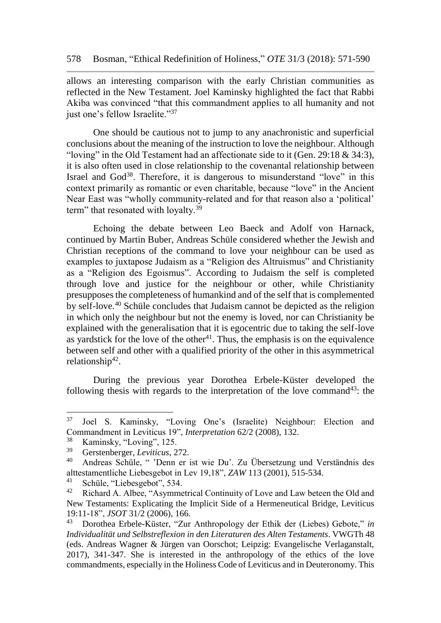allows an interesting comparison with the early Christian communities as reflected in the New Testament. Joel Kaminsky highlighted the fact that Rabbi Akiba was convinced "that this commandment applies to all humanity and not just one's fellow Israelite."<sup>37</sup>

One should be cautious not to jump to any anachronistic and superficial conclusions about the meaning of the instruction to love the neighbour. Although "loving" in the Old Testament had an affectionate side to it (Gen. 29:18 & 34:3), it is also often used in close relationship to the covenantal relationship between Israel and God<sup>38</sup>. Therefore, it is dangerous to misunderstand "love" in this context primarily as romantic or even charitable, because "love" in the Ancient Near East was "wholly community-related and for that reason also a 'political' term" that resonated with loyalty.<sup>39</sup>

Echoing the debate between Leo Baeck and Adolf von Harnack, continued by Martin Buber, Andreas Schüle considered whether the Jewish and Christian receptions of the command to love your neighbour can be used as examples to juxtapose Judaism as a "Religion des Altruismus" and Christianity as a "Religion des Egoismus". According to Judaism the self is completed through love and justice for the neighbour or other, while Christianity presupposes the completeness of humankind and of the self that is complemented by self-love.<sup>40</sup> Schüle concludes that Judaism cannot be depicted as the religion in which only the neighbour but not the enemy is loved, nor can Christianity be explained with the generalisation that it is egocentric due to taking the self-love as yardstick for the love of the other $4<sup>1</sup>$ . Thus, the emphasis is on the equivalence between self and other with a qualified priority of the other in this asymmetrical relationship<sup>42</sup>.

During the previous year Dorothea Erbele-Küster developed the following thesis with regards to the interpretation of the love command<sup>43</sup>: the

 $37$ Joel S. Kaminsky, "Loving One's (Israelite) Neighbour: Election and Commandment in Leviticus 19", *Interpretation* 62/2 (2008), 132.

 $\frac{38}{39}$  Kaminsky, "Loving", 125.

<sup>39</sup> Gerstenberger, *Leviticus*, 272.

<sup>40</sup> Andreas Schüle, " 'Denn er ist wie Du'. Zu Übersetzung und Verständnis des alttestamentliche Liebesgebot in Lev 19,18", *ZAW* 113 (2001), 515-534.

<sup>&</sup>lt;sup>41</sup> Schüle, "Liebesgebot", 534.<br><sup>42</sup> Bishard A Albae, "Asymme

Richard A. Albee, "Asymmetrical Continuity of Love and Law beteen the Old and New Testaments: Explicating the Implicit Side of a Hermeneutical Bridge, Leviticus 19:11-18", *JSOT* 31/2 (2006), 166.

<sup>43</sup> Dorothea Erbele-Küster, "Zur Anthropology der Ethik der (Liebes) Gebote," *in Individualität und Selbstreflexion in den Literaturen des Alten Testaments*. VWGTh 48 (eds. Andreas Wagner & Jürgen van Oorschot; Leipzig: Evangelische Verlaganstalt, 2017), 341-347. She is interested in the anthropology of the ethics of the love commandments, especially in the Holiness Code of Leviticus and in Deuteronomy. This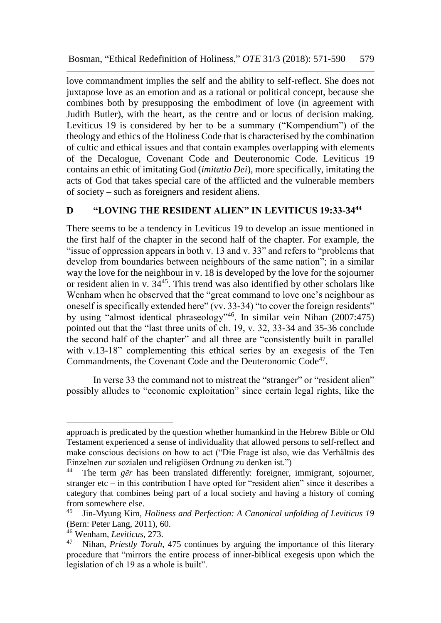love commandment implies the self and the ability to self-reflect. She does not juxtapose love as an emotion and as a rational or political concept, because she combines both by presupposing the embodiment of love (in agreement with Judith Butler), with the heart, as the centre and or locus of decision making. Leviticus 19 is considered by her to be a summary ("Kompendium") of the theology and ethics of the Holiness Code that is characterised by the combination of cultic and ethical issues and that contain examples overlapping with elements of the Decalogue, Covenant Code and Deuteronomic Code. Leviticus 19 contains an ethic of imitating God (*imitatio Dei*), more specifically, imitating the acts of God that takes special care of the afflicted and the vulnerable members of society – such as foreigners and resident aliens.

## **D "LOVING THE RESIDENT ALIEN" IN LEVITICUS 19:33-34<sup>44</sup>**

There seems to be a tendency in Leviticus 19 to develop an issue mentioned in the first half of the chapter in the second half of the chapter. For example, the "issue of oppression appears in both v. 13 and v. 33" and refers to "problems that develop from boundaries between neighbours of the same nation"; in a similar way the love for the neighbour in v. 18 is developed by the love for the sojourner or resident alien in v. 34<sup>45</sup>. This trend was also identified by other scholars like Wenham when he observed that the "great command to love one's neighbour as oneself is specifically extended here" (vv. 33-34) "to cover the foreign residents" by using "almost identical phraseology"<sup>46</sup>. In similar vein Nihan (2007:475) pointed out that the "last three units of ch. 19, v. 32, 33-34 and 35-36 conclude the second half of the chapter" and all three are "consistently built in parallel with v.13-18" complementing this ethical series by an exegesis of the Ten Commandments, the Covenant Code and the Deuteronomic Code<sup>47</sup>.

In verse 33 the command not to mistreat the "stranger" or "resident alien" possibly alludes to "economic exploitation" since certain legal rights, like the

approach is predicated by the question whether humankind in the Hebrew Bible or Old Testament experienced a sense of individuality that allowed persons to self-reflect and make conscious decisions on how to act ("Die Frage ist also, wie das Verhältnis des Einzelnen zur sozialen und religiösen Ordnung zu denken ist.")<br><sup>44</sup> The term ger has been translated differently: foreigner

The term *gēr* has been translated differently: foreigner, immigrant, sojourner, stranger etc – in this contribution I have opted for "resident alien" since it describes a category that combines being part of a local society and having a history of coming from somewhere else.

<sup>45</sup> Jin-Myung Kim, *Holiness and Perfection: A Canonical unfolding of Leviticus 19* (Bern: Peter Lang, 2011), 60.

<sup>46</sup> Wenham, *Leviticus*, 273.

<sup>47</sup> Nihan, *Priestly Torah*, 475 continues by arguing the importance of this literary procedure that "mirrors the entire process of inner-biblical exegesis upon which the legislation of ch 19 as a whole is built".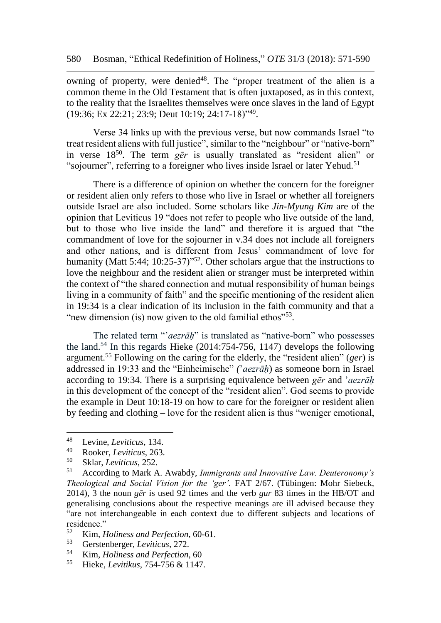owning of property, were denied<sup>48</sup>. The "proper treatment of the alien is a common theme in the Old Testament that is often juxtaposed, as in this context, to the reality that the Israelites themselves were once slaves in the land of Egypt (19:36; Ex 22:21; 23:9; Deut 10:19; 24:17-18)"<sup>49</sup> .

Verse 34 links up with the previous verse, but now commands Israel "to treat resident aliens with full justice", similar to the "neighbour" or "native-born" in verse 18<sup>50</sup>. The term *gēr* is usually translated as "resident alien" or "sojourner", referring to a foreigner who lives inside Israel or later Yehud.<sup>51</sup>

There is a difference of opinion on whether the concern for the foreigner or resident alien only refers to those who live in Israel or whether all foreigners outside Israel are also included. Some scholars like *Jin-Myung Kim* are of the opinion that Leviticus 19 "does not refer to people who live outside of the land, but to those who live inside the land" and therefore it is argued that "the commandment of love for the sojourner in v.34 does not include all foreigners and other nations, and is different from Jesus' commandment of love for humanity (Matt 5:44; 10:25-37)<sup>52</sup>. Other scholars argue that the instructions to love the neighbour and the resident alien or stranger must be interpreted within the context of "the shared connection and mutual responsibility of human beings living in a community of faith" and the specific mentioning of the resident alien in 19:34 is a clear indication of its inclusion in the faith community and that a "new dimension (is) now given to the old familial ethos $"^{53}$ .

The related term "*'aezrāh*" is translated as "native-born" who possesses the land.<sup>54</sup> In this regards Hieke  $(2014:754-756, 1147)$  develops the following argument.<sup>55</sup> Following on the caring for the elderly, the "resident alien" (*ger*) is addressed in 19:33 and the "Einheimische" *(*'*aezrāḥ*) as someone born in Israel according to 19:34. There is a surprising equivalence between *gēr* and '*aezrāḥ* in this development of the concept of the "resident alien". God seems to provide the example in Deut 10:18-19 on how to care for the foreigner or resident alien by feeding and clothing – love for the resident alien is thus "weniger emotional,

<sup>48</sup> Levine, *Leviticus*, 134.

<sup>49</sup> Rooker, *Leviticus*, 263.

<sup>50</sup> Sklar, *Leviticus*, 252.

<sup>51</sup> According to Mark A. Awabdy, *Immigrants and Innovative Law. Deuteronomy's Theological and Social Vision for the 'ger'.* FAT 2/67. (Tübingen: Mohr Siebeck, 2014), 3 the noun *gēr* is used 92 times and the verb *gur* 83 times in the HB/OT and generalising conclusions about the respective meanings are ill advised because they "are not interchangeable in each context due to different subjects and locations of residence."<br> $52 \text{ Kim}$ 

<sup>52</sup> Kim, *Holiness and Perfection*, 60-61.

<sup>53</sup> Gerstenberger, *Leviticus*, 272.

<sup>&</sup>lt;sup>54</sup> Kim, *Holiness and Perfection*, 60<br><sup>55</sup> Highe *Levitibus* 754, 756 & 1147

<sup>55</sup> Hieke, *Levitikus*, 754-756 & 1147.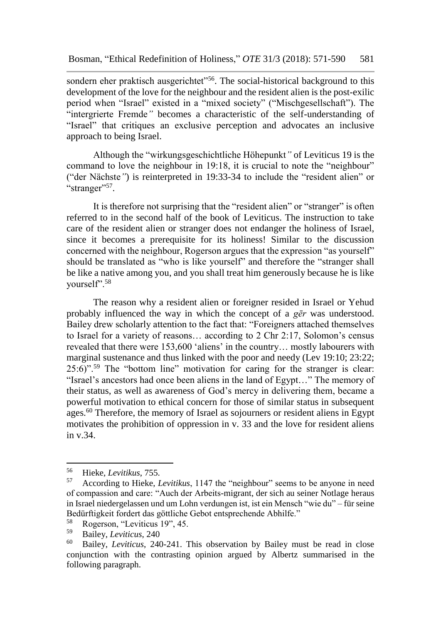sondern eher praktisch ausgerichtet<sup>356</sup>. The social-historical background to this development of the love for the neighbour and the resident alien is the post-exilic period when "Israel" existed in a "mixed society" ("Mischgesellschaft"). The "intergrierte Fremde*"* becomes a characteristic of the self-understanding of "Israel" that critiques an exclusive perception and advocates an inclusive approach to being Israel.

Although the "wirkungsgeschichtliche Höhepunkt*"* of Leviticus 19 is the command to love the neighbour in 19:18, it is crucial to note the "neighbour" ("der Nächste*"*) is reinterpreted in 19:33-34 to include the "resident alien" or "stranger"<sup>57</sup>.

It is therefore not surprising that the "resident alien" or "stranger" is often referred to in the second half of the book of Leviticus. The instruction to take care of the resident alien or stranger does not endanger the holiness of Israel, since it becomes a prerequisite for its holiness! Similar to the discussion concerned with the neighbour, Rogerson argues that the expression "as yourself" should be translated as "who is like yourself" and therefore the "stranger shall be like a native among you, and you shall treat him generously because he is like yourself".<sup>58</sup>

The reason why a resident alien or foreigner resided in Israel or Yehud probably influenced the way in which the concept of a *gēr* was understood. Bailey drew scholarly attention to the fact that: "Foreigners attached themselves to Israel for a variety of reasons… according to 2 Chr 2:17, Solomon's census revealed that there were 153,600 'aliens' in the country… mostly labourers with marginal sustenance and thus linked with the poor and needy (Lev 19:10; 23:22; 25:6)".<sup>59</sup> The "bottom line" motivation for caring for the stranger is clear: "Israel's ancestors had once been aliens in the land of Egypt…" The memory of their status, as well as awareness of God's mercy in delivering them, became a powerful motivation to ethical concern for those of similar status in subsequent ages.<sup>60</sup> Therefore, the memory of Israel as sojourners or resident aliens in Egypt motivates the prohibition of oppression in v. 33 and the love for resident aliens in v.34.

<sup>56</sup> <sup>56</sup> Hieke, *Levitikus*, 755.<br><sup>57</sup> According to Hieke *I* 

<sup>57</sup> According to Hieke, *Levitikus*, 1147 the "neighbour" seems to be anyone in need of compassion and care: "Auch der Arbeits-migrant, der sich au seiner Notlage heraus in Israel niedergelassen und um Lohn verdungen ist, ist ein Mensch "wie du" – für seine Bedürftigkeit fordert das göttliche Gebot entsprechende Abhilfe."<br><sup>58</sup> Bogerson "Leviticus 19" 45

 $58$  Rogerson, "Leviticus 19", 45.

<sup>59</sup> Bailey, *Leviticus*, 240

<sup>60</sup> Bailey, *Leviticus*, 240-241. This observation by Bailey must be read in close conjunction with the contrasting opinion argued by Albertz summarised in the following paragraph.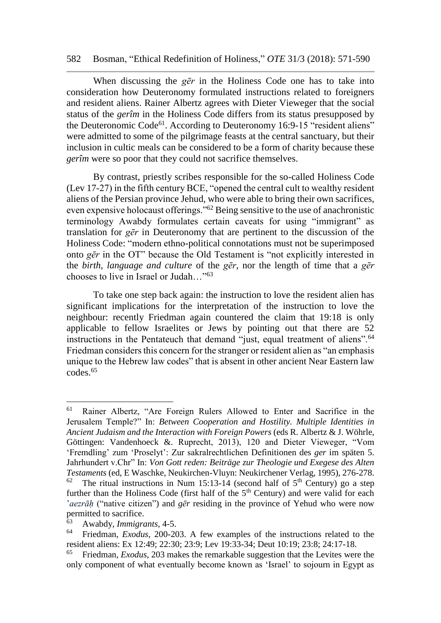#### 582 Bosman, "Ethical Redefinition of Holiness," *OTE* 31/3 (2018): 571-590

When discussing the *gēr* in the Holiness Code one has to take into consideration how Deuteronomy formulated instructions related to foreigners and resident aliens. Rainer Albertz agrees with Dieter Vieweger that the social status of the *gerîm* in the Holiness Code differs from its status presupposed by the Deuteronomic Code<sup>61</sup>. According to Deuteronomy 16:9-15 "resident aliens" were admitted to some of the pilgrimage feasts at the central sanctuary, but their inclusion in cultic meals can be considered to be a form of charity because these *gerîm* were so poor that they could not sacrifice themselves.

By contrast, priestly scribes responsible for the so-called Holiness Code (Lev 17-27) in the fifth century BCE, "opened the central cult to wealthy resident aliens of the Persian province Jehud, who were able to bring their own sacrifices, even expensive holocaust offerings."<sup>62</sup> Being sensitive to the use of anachronistic terminology Awabdy formulates certain caveats for using "immigrant" as translation for *gēr* in Deuteronomy that are pertinent to the discussion of the Holiness Code: "modern ethno-political connotations must not be superimposed onto *gēr* in the OT" because the Old Testament is "not explicitly interested in the *birth, language and culture* of the *gēr*, nor the length of time that a *gēr* chooses to live in Israel or Judah…"<sup>63</sup>

To take one step back again: the instruction to love the resident alien has significant implications for the interpretation of the instruction to love the neighbour: recently Friedman again countered the claim that 19:18 is only applicable to fellow Israelites or Jews by pointing out that there are 52 instructions in the Pentateuch that demand "just, equal treatment of aliens".<sup>64</sup> Friedman considers this concern for the stranger or resident alien as "an emphasis unique to the Hebrew law codes" that is absent in other ancient Near Eastern law codes.<sup>65</sup>

<sup>61</sup> Rainer Albertz, "Are Foreign Rulers Allowed to Enter and Sacrifice in the Jerusalem Temple?" In: *Between Cooperation and Hostility. Multiple Identities in Ancient Judaism and the Interaction with Foreign Powers* (eds R. Albertz & J. Wöhrle, Göttingen: Vandenhoeck &. Ruprecht, 2013), 120 and Dieter Vieweger, "Vom 'Fremdling' zum 'Proselyt': Zur sakralrechtlichen Definitionen des *ger* im späten 5. Jahrhundert v.Chr" In: *Von Gott reden: Beiträge zur Theologie und Exegese des Alten Testaments* (ed, E Waschke, Neukirchen-Vluyn: Neukirchener Verlag, 1995), 276-278.

<sup>&</sup>lt;sup>62</sup> The ritual instructions in Num 15:13-14 (second half of  $5<sup>th</sup>$  Century) go a step further than the Holiness Code (first half of the  $5<sup>th</sup>$  Century) and were valid for each '*aezrāḥ* ("native citizen") and *gēr* residing in the province of Yehud who were now permitted to sacrifice.

<sup>63</sup> Awabdy*, Immigrants,* 4-5.

<sup>64</sup> Friedman, *Exodus*, 200-203. A few examples of the instructions related to the resident aliens: Ex 12:49; 22:30; 23:9; Lev 19:33-34; Deut 10:19; 23:8; 24:17-18.

<sup>65</sup> Friedman*, Exodus*, 203 makes the remarkable suggestion that the Levites were the only component of what eventually become known as 'Israel' to sojourn in Egypt as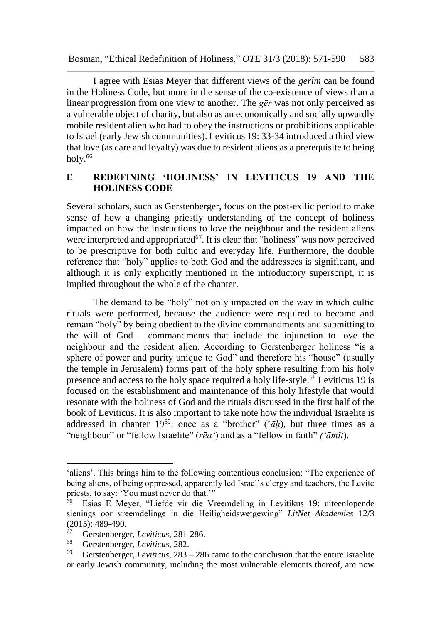I agree with Esias Meyer that different views of the *gerîm* can be found in the Holiness Code, but more in the sense of the co-existence of views than a linear progression from one view to another. The *gēr* was not only perceived as a vulnerable object of charity, but also as an economically and socially upwardly mobile resident alien who had to obey the instructions or prohibitions applicable to Israel (early Jewish communities). Leviticus 19: 33-34 introduced a third view that love (as care and loyalty) was due to resident aliens as a prerequisite to being holy. $66$ 

## **E REDEFINING 'HOLINESS' IN LEVITICUS 19 AND THE HOLINESS CODE**

Several scholars, such as Gerstenberger, focus on the post-exilic period to make sense of how a changing priestly understanding of the concept of holiness impacted on how the instructions to love the neighbour and the resident aliens were interpreted and appropriated<sup>67</sup>. It is clear that "holiness" was now perceived to be prescriptive for both cultic and everyday life. Furthermore, the double reference that "holy" applies to both God and the addressees is significant, and although it is only explicitly mentioned in the introductory superscript, it is implied throughout the whole of the chapter.

The demand to be "holy" not only impacted on the way in which cultic rituals were performed, because the audience were required to become and remain "holy" by being obedient to the divine commandments and submitting to the will of God – commandments that include the injunction to love the neighbour and the resident alien. According to Gerstenberger holiness "is a sphere of power and purity unique to God" and therefore his "house" (usually the temple in Jerusalem) forms part of the holy sphere resulting from his holy presence and access to the holy space required a holy life-style.<sup>68</sup> Leviticus 19 is focused on the establishment and maintenance of this holy lifestyle that would resonate with the holiness of God and the rituals discussed in the first half of the book of Leviticus. It is also important to take note how the individual Israelite is addressed in chapter  $19^{69}$ : once as a "brother" (' $\bar{a}h$ ), but three times as a "neighbour" or "fellow Israelite" (*rēaʻ*) and as a "fellow in faith" *(ʻāmît*).

<sup>&#</sup>x27;aliens'. This brings him to the following contentious conclusion: "The experience of being aliens, of being oppressed, apparently led Israel's clergy and teachers, the Levite priests, to say: 'You must never do that.'"<br><sup>66</sup> Esias E Meyer, "Liefde vir die Vr

<sup>66</sup> Esias E Meyer, "Liefde vir die Vreemdeling in Levitikus 19: uiteenlopende sienings oor vreemdelinge in die Heiligheidswetgewing" *LitNet Akademies* 12/3 (2015): 489-490.

<sup>67</sup> Gerstenberger, *Leviticus*, 281-286.

<sup>68</sup> Gerstenberger, *Leviticus*, 282.

<sup>69</sup> Gerstenberger, *Leviticus*, 283 – 286 came to the conclusion that the entire Israelite or early Jewish community, including the most vulnerable elements thereof, are now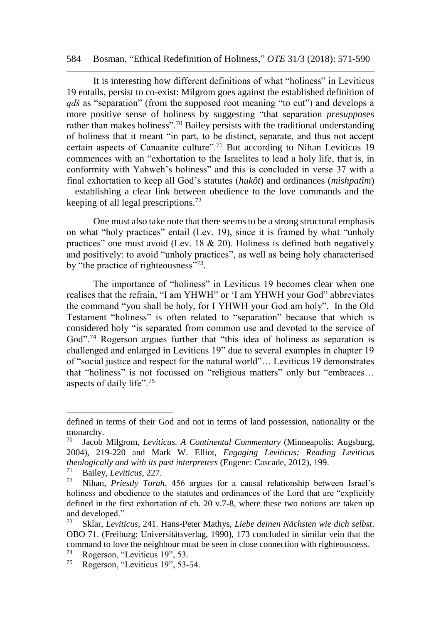#### 584 Bosman, "Ethical Redefinition of Holiness," *OTE* 31/3 (2018): 571-590

It is interesting how different definitions of what "holiness" in Leviticus 19 entails, persist to co-exist: Milgrom goes against the established definition of *qdš* as "separation" (from the supposed root meaning "to cut") and develops a more positive sense of holiness by suggesting "that separation *presuppos*es rather than makes holiness".<sup>70</sup> Bailey persists with the traditional understanding of holiness that it meant "in part, to be distinct, separate, and thus not accept certain aspects of Canaanite culture".<sup>71</sup> But according to Nihan Leviticus 19 commences with an "exhortation to the Israelites to lead a holy life, that is, in conformity with Yahweh's holiness" and this is concluded in verse 37 with a final exhortation to keep all God's statutes (*hukôt*) and ordinances (*mishpatîm*) – establishing a clear link between obedience to the love commands and the keeping of all legal prescriptions.<sup>72</sup>

One must also take note that there seems to be a strong structural emphasis on what "holy practices" entail (Lev. 19), since it is framed by what "unholy practices" one must avoid (Lev. 18  $\&$  20). Holiness is defined both negatively and positively: to avoid "unholy practices", as well as being holy characterised by "the practice of righteousness"<sup>73</sup>.

The importance of "holiness" in Leviticus 19 becomes clear when one realises that the refrain, "I am YHWH" or 'I am YHWH your God" abbreviates the command "you shall be holy, for I YHWH your God am holy". In the Old Testament "holiness" is often related to "separation" because that which is considered holy "is separated from common use and devoted to the service of God"<sup>74</sup> Rogerson argues further that "this idea of holiness as separation is challenged and enlarged in Leviticus 19" due to several examples in chapter 19 of "social justice and respect for the natural world"… Leviticus 19 demonstrates that "holiness" is not focussed on "religious matters" only but "embraces… aspects of daily life".<sup>75</sup>

defined in terms of their God and not in terms of land possession, nationality or the monarchy.<br><sup>70</sup> Iacob

Jacob Milgrom, *Leviticus, A Continental Commentary* (Minneapolis: Augsburg, 2004), 219-220 and Mark W. Elliot, *Engaging Leviticus: Reading Leviticus theologically and with its past interpreters* (Eugene: Cascade, 2012), 199.

<sup>71</sup> Bailey, *Leviticus*, 227.

<sup>72</sup> Nihan, *Priestly Torah*, 456 argues for a causal relationship between Israel's holiness and obedience to the statutes and ordinances of the Lord that are "explicitly defined in the first exhortation of ch. 20 v.7-8, where these two notions are taken up and developed."

<sup>73</sup> Sklar, *Leviticus*, 241. Hans-Peter Mathys, *Liebe deinen Nächsten wie dich selbst*. OBO 71. (Freiburg: Universitätsverlag, 1990), 173 concluded in similar vein that the command to love the neighbour must be seen in close connection with righteousness.

 $^{74}$  Rogerson, "Leviticus 19", 53.<br> $^{75}$  Rogerson "Leviticus 19", 53.

Rogerson, "Leviticus 19", 53-54.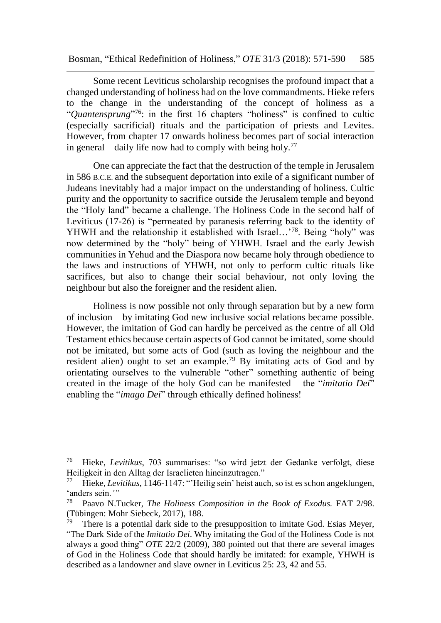Some recent Leviticus scholarship recognises the profound impact that a changed understanding of holiness had on the love commandments. Hieke refers to the change in the understanding of the concept of holiness as a "*Quantensprung*" <sup>76</sup>: in the first 16 chapters "holiness" is confined to cultic (especially sacrificial) rituals and the participation of priests and Levites. However, from chapter 17 onwards holiness becomes part of social interaction in general – daily life now had to comply with being holy.<sup>77</sup>

One can appreciate the fact that the destruction of the temple in Jerusalem in 586 B.C.E. and the subsequent deportation into exile of a significant number of Judeans inevitably had a major impact on the understanding of holiness. Cultic purity and the opportunity to sacrifice outside the Jerusalem temple and beyond the "Holy land" became a challenge. The Holiness Code in the second half of Leviticus (17-26) is "permeated by paranesis referring back to the identity of YHWH and the relationship it established with Israel...<sup>78</sup>. Being "holy" was now determined by the "holy" being of YHWH. Israel and the early Jewish communities in Yehud and the Diaspora now became holy through obedience to the laws and instructions of YHWH, not only to perform cultic rituals like sacrifices, but also to change their social behaviour, not only loving the neighbour but also the foreigner and the resident alien.

Holiness is now possible not only through separation but by a new form of inclusion – by imitating God new inclusive social relations became possible. However, the imitation of God can hardly be perceived as the centre of all Old Testament ethics because certain aspects of God cannot be imitated, some should not be imitated, but some acts of God (such as loving the neighbour and the resident alien) ought to set an example.<sup>79</sup> By imitating acts of God and by orientating ourselves to the vulnerable "other" something authentic of being created in the image of the holy God can be manifested – the "*imitatio Dei*" enabling the "*imago Dei*" through ethically defined holiness!

<sup>76</sup> Hieke, *Levitikus*, 703 summarises: "so wird jetzt der Gedanke verfolgt, diese Heiligkeit in den Alltag der Israelieten hineinzutragen."

<sup>77</sup> Hieke, *Levitikus*, 1146-1147: "'Heilig sein' heist auch, so ist es schon angeklungen, <sup>'</sup>anders sein.'"<br><sup>78</sup> Paavo N T

<sup>78</sup> Paavo N.Tucker, *The Holiness Composition in the Book of Exodus.* FAT 2/98. (Tübingen: Mohr Siebeck, 2017), 188.

<sup>79</sup> There is a potential dark side to the presupposition to imitate God. Esias Meyer, "The Dark Side of the *Imitatio Dei*. Why imitating the God of the Holiness Code is not always a good thing" *OTE* 22/2 (2009), 380 pointed out that there are several images of God in the Holiness Code that should hardly be imitated: for example, YHWH is described as a landowner and slave owner in Leviticus 25: 23, 42 and 55.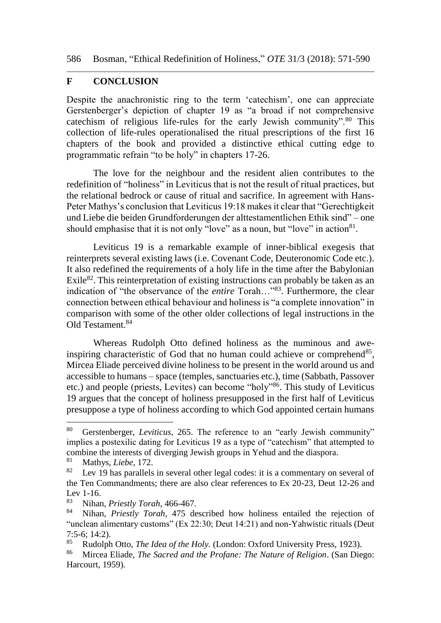### **F CONCLUSION**

Despite the anachronistic ring to the term 'catechism', one can appreciate Gerstenberger's depiction of chapter 19 as "a broad if not comprehensive cate chism of religious life-rules for the early Jewish community". $80$  This collection of life-rules operationalised the ritual prescriptions of the first 16 chapters of the book and provided a distinctive ethical cutting edge to programmatic refrain "to be holy" in chapters 17-26.

The love for the neighbour and the resident alien contributes to the redefinition of "holiness" in Leviticus that is not the result of ritual practices, but the relational bedrock or cause of ritual and sacrifice. In agreement with Hans-Peter Mathys's conclusion that Leviticus 19:18 makes it clear that "Gerechtigkeit und Liebe die beiden Grundforderungen der alttestamentlichen Ethik sind" – one should emphasise that it is not only "love" as a noun, but "love" in action $81$ .

Leviticus 19 is a remarkable example of inner-biblical exegesis that reinterprets several existing laws (i.e. Covenant Code, Deuteronomic Code etc.). It also redefined the requirements of a holy life in the time after the Babylonian Exile<sup>82</sup>. This reinterpretation of existing instructions can probably be taken as an indication of "the observance of the *entire* Torah…"<sup>83</sup>. Furthermore, the clear connection between ethical behaviour and holiness is "a complete innovation" in comparison with some of the other older collections of legal instructions in the Old Testament.<sup>84</sup>

Whereas Rudolph Otto defined holiness as the numinous and aweinspiring characteristic of God that no human could achieve or comprehend<sup>85</sup>, Mircea Eliade perceived divine holiness to be present in the world around us and accessible to humans – space (temples, sanctuaries etc.), time (Sabbath, Passover etc.) and people (priests, Levites) can become "holy"<sup>86</sup>. This study of Leviticus 19 argues that the concept of holiness presupposed in the first half of Leviticus presuppose a type of holiness according to which God appointed certain humans

<sup>80</sup> Gerstenberger, *Leviticus,* 265. The reference to an "early Jewish community" implies a postexilic dating for Leviticus 19 as a type of "catechism" that attempted to combine the interests of diverging Jewish groups in Yehud and the diaspora.

<sup>&</sup>lt;sup>81</sup> Mathys, *Liebe*, 172.

Lev 19 has parallels in several other legal codes: it is a commentary on several of the Ten Commandments; there are also clear references to Ex 20-23, Deut 12-26 and Lev  $1-16$ .<br> $83$  Nihar

<sup>83</sup> Nihan, *Priestly Torah*, 466-467.

<sup>84</sup> Nihan, *Priestly Torah*, 475 described how holiness entailed the rejection of "unclean alimentary customs" (Ex 22:30; Deut 14:21) and non-Yahwistic rituals (Deut  $7:5-6$ ; 14:2).<br> $85\quad \text{Pudolph}$ 

<sup>85</sup> Rudolph Otto, *The Idea of the Holy.* (London: Oxford University Press, 1923).<br>86 Mircea Eliade *The Sacred and the Profane: The Nature of Peligion* (San Die

<sup>86</sup> Mircea Eliade, *The Sacred and the Profane: The Nature of Religion*. (San Diego: Harcourt, 1959).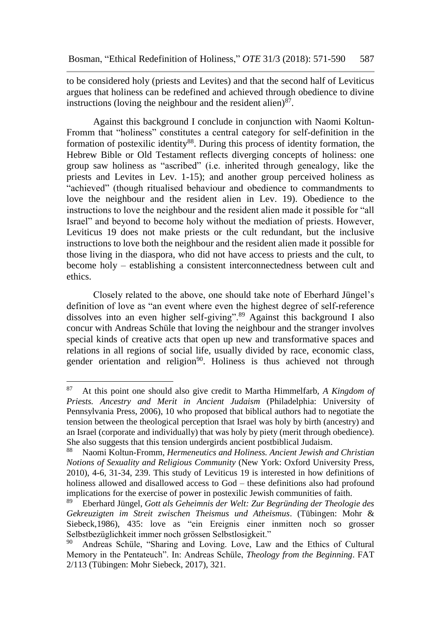to be considered holy (priests and Levites) and that the second half of Leviticus argues that holiness can be redefined and achieved through obedience to divine instructions (loving the neighbour and the resident alien) $87$ .

Against this background I conclude in conjunction with Naomi Koltun-Fromm that "holiness" constitutes a central category for self-definition in the formation of postexilic identity $88$ . During this process of identity formation, the Hebrew Bible or Old Testament reflects diverging concepts of holiness: one group saw holiness as "ascribed" (i.e. inherited through genealogy, like the priests and Levites in Lev. 1-15); and another group perceived holiness as "achieved" (though ritualised behaviour and obedience to commandments to love the neighbour and the resident alien in Lev. 19). Obedience to the instructions to love the neighbour and the resident alien made it possible for "all Israel" and beyond to become holy without the mediation of priests. However, Leviticus 19 does not make priests or the cult redundant, but the inclusive instructions to love both the neighbour and the resident alien made it possible for those living in the diaspora, who did not have access to priests and the cult, to become holy – establishing a consistent interconnectedness between cult and ethics.

Closely related to the above, one should take note of Eberhard Jüngel's definition of love as "an event where even the highest degree of self-reference dissolves into an even higher self-giving".<sup>89</sup> Against this background I also concur with Andreas Schüle that loving the neighbour and the stranger involves special kinds of creative acts that open up new and transformative spaces and relations in all regions of social life, usually divided by race, economic class, gender orientation and religion<sup>90</sup>. Holiness is thus achieved not through

<sup>87</sup> At this point one should also give credit to Martha Himmelfarb, *A Kingdom of Priests. Ancestry and Merit in Ancient Judaism* (Philadelphia: University of Pennsylvania Press, 2006), 10 who proposed that biblical authors had to negotiate the tension between the theological perception that Israel was holy by birth (ancestry) and an Israel (corporate and individually) that was holy by piety (merit through obedience). She also suggests that this tension undergirds ancient postbiblical Judaism.<br><sup>88</sup> Naomi Koltun-Fromm *Hermeneutics and Holiness Ancient Jewish an* 

<sup>88</sup> Naomi Koltun-Fromm, *Hermeneutics and Holiness. Ancient Jewish and Christian Notions of Sexuality and Religious Community* (New York: Oxford University Press, 2010), 4-6, 31-34, 239. This study of Leviticus 19 is interested in how definitions of holiness allowed and disallowed access to God – these definitions also had profound implications for the exercise of power in postexilic Jewish communities of faith.

<sup>89</sup> Eberhard Jüngel, *Gott als Geheimnis der Welt: Zur Begründing der Theologie des Gekreuzigten im Streit zwischen Theismus und Atheismus*. (Tübingen: Mohr & Siebeck,1986), 435: love as "ein Ereignis einer inmitten noch so grosser Selbstbezüglichkeit immer noch grössen Selbstlosigkeit."

Andreas Schüle, "Sharing and Loving. Love, Law and the Ethics of Cultural Memory in the Pentateuch". In: Andreas Schüle, *Theology from the Beginning*. FAT 2/113 (Tübingen: Mohr Siebeck, 2017), 321.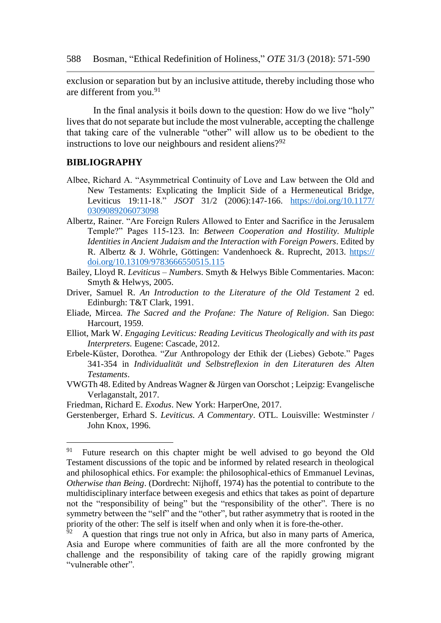exclusion or separation but by an inclusive attitude, thereby including those who are different from you.<sup>91</sup>

In the final analysis it boils down to the question: How do we live "holy" lives that do not separate but include the most vulnerable, accepting the challenge that taking care of the vulnerable "other" will allow us to be obedient to the instructions to love our neighbours and resident aliens?<sup>92</sup>

#### **BIBLIOGRAPHY**

- Albee, Richard A. "Asymmetrical Continuity of Love and Law between the Old and New Testaments: Explicating the Implicit Side of a Hermeneutical Bridge, Leviticus 19:11-18." *JSOT* 31/2 (2006):147-166. [https://doi.org/10.1177/](https://doi.org/10.1177/%200309089206073098)  [0309089206073098](https://doi.org/10.1177/%200309089206073098)
- Albertz, Rainer. "Are Foreign Rulers Allowed to Enter and Sacrifice in the Jerusalem Temple?" Pages 115-123. In: *Between Cooperation and Hostility. Multiple Identities in Ancient Judaism and the Interaction with Foreign Powers*. Edited by R. Albertz & J. Wöhrle, Göttingen: Vandenhoeck &. Ruprecht, 2013. https:// doi.org/10.13109/9783666550515.115
- Bailey, Lloyd R. *Leviticus – Numbers*. Smyth & Helwys Bible Commentaries. Macon: Smyth & Helwys, 2005.
- Driver, Samuel R. *An Introduction to the Literature of the Old Testament* 2 ed. Edinburgh: T&T Clark, 1991.
- Eliade, Mircea. *The Sacred and the Profane: The Nature of Religion*. San Diego: Harcourt, 1959.
- Elliot, Mark W. *Engaging Leviticus: Reading Leviticus Theologically and with its past Interpreters.* Eugene: Cascade, 2012.
- Erbele-Küster, Dorothea. "Zur Anthropology der Ethik der (Liebes) Gebote." Pages 341-354 in *Individualität und Selbstreflexion in den Literaturen des Alten Testaments*.
- VWGTh 48. Edited by Andreas Wagner & Jürgen van Oorschot ; Leipzig: Evangelische Verlaganstalt, 2017.
- Friedman, Richard E. *Exodus*. New York: HarperOne, 2017.
- Gerstenberger, Erhard S. *Leviticus. A Commentary*. OTL. Louisville: Westminster / John Knox, 1996.

 $91$  Future research on this chapter might be well advised to go beyond the Old Testament discussions of the topic and be informed by related research in theological and philosophical ethics. For example: the philosophical-ethics of Emmanuel Levinas, *Otherwise than Being*. (Dordrecht: Nijhoff, 1974) has the potential to contribute to the multidisciplinary interface between exegesis and ethics that takes as point of departure not the "responsibility of being" but the "responsibility of the other". There is no symmetry between the "self" and the "other", but rather asymmetry that is rooted in the priority of the other: The self is itself when and only when it is fore-the-other.

 $\frac{92}{92}$  A question that rings true not only in Africa, but also in many parts of America, Asia and Europe where communities of faith are all the more confronted by the challenge and the responsibility of taking care of the rapidly growing migrant "vulnerable other".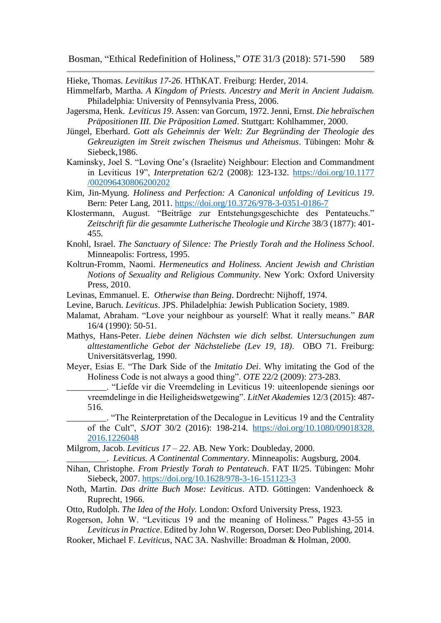Hieke, Thomas. *Levitikus 17-26*. HThKAT. Freiburg: Herder, 2014.

- Himmelfarb, Martha. *A Kingdom of Priests. Ancestry and Merit in Ancient Judaism.* Philadelphia: University of Pennsylvania Press, 2006.
- Jagersma, Henk. *Leviticus 19*. Assen: van Gorcum, 1972. Jenni, Ernst. *Die hebraïschen Präpositionen III. Die Präposition Lamed*. Stuttgart: Kohlhammer, 2000.
- Jüngel, Eberhard. *Gott als Geheimnis der Welt: Zur Begründing der Theologie des Gekreuzigten im Streit zwischen Theismus und Atheismus*. Tübingen: Mohr & Siebeck,1986.
- Kaminsky, Joel S. "Loving One's (Israelite) Neighbour: Election and Commandment in Leviticus 19", *Interpretation* 62/2 (2008): 123-132. [https://doi.org/10.1177](https://doi.org/10.1177%20/002096430806200202)  [/002096430806200202](https://doi.org/10.1177%20/002096430806200202)
- Kim, Jin-Myung. *Holiness and Perfection: A Canonical unfolding of Leviticus 19*. Bern: Peter Lang, 2011. <https://doi.org/10.3726/978-3-0351-0186-7>
- Klostermann, August. "Beiträge zur Entstehungsgeschichte des Pentateuchs." *Zeitschrift für die gesammte Lutherische Theologie und Kirche* 38/3 (1877): 401- 455.
- Knohl, Israel. *The Sanctuary of Silence: The Priestly Torah and the Holiness School*. Minneapolis: Fortress, 1995.
- Koltrun-Fromm, Naomi. *Hermeneutics and Holiness. Ancient Jewish and Christian Notions of Sexuality and Religious Community*. New York: Oxford University Press, 2010.
- Levinas, Emmanuel. E. *Otherwise than Being*. Dordrecht: Nijhoff, 1974.
- Levine, Baruch. *Leviticus*. JPS. Philadelphia: Jewish Publication Society, 1989.
- Malamat, Abraham. "Love your neighbour as yourself: What it really means." *BAR*  16/4 (1990): 50-51.
- Mathys, Hans-Peter. *Liebe deinen Nächsten wie dich selbst. Untersuchungen zum alttestamentliche Gebot der Nächsteliebe (Lev 19, 18)*. OBO 71. Freiburg: Universitätsverlag, 1990.
- Meyer, Esias E. "The Dark Side of the *Imitatio Dei*. Why imitating the God of the Holiness Code is not always a good thing". *OTE* 22/2 (2009): 273-283.
	- \_\_\_\_\_\_\_\_\_. "Liefde vir die Vreemdeling in Leviticus 19: uiteenlopende sienings oor vreemdelinge in die Heiligheidswetgewing". *LitNet Akademies* 12/3 (2015): 487- 516.
		- \_\_\_\_\_\_\_\_\_. "The Reinterpretation of the Decalogue in Leviticus 19 and the Centrality of the Cult", *SJOT* 30/2 (2016): 198-214. [https://doi.org/10.1080/09018328.](https://doi.org/10.1080/09018328.%202016.1226048)  [2016.1226048](https://doi.org/10.1080/09018328.%202016.1226048)

Milgrom, Jacob. *Leviticus 17 – 22*. AB. New York: Doubleday, 2000.

\_\_\_\_\_\_\_\_\_. *Leviticus. A Continental Commentary*. Minneapolis: Augsburg, 2004.

- Nihan, Christophe. *From Priestly Torah to Pentateuch*. FAT II/25. Tübingen: Mohr Siebeck, 2007. <https://doi.org/10.1628/978-3-16-151123-3>
- Noth, Martin. *Das dritte Buch Mose: Leviticus*. ATD. Göttingen: Vandenhoeck & Ruprecht, 1966.
- Otto, Rudolph. *The Idea of the Holy.* London: Oxford University Press, 1923.
- Rogerson, John W. "Leviticus 19 and the meaning of Holiness." Pages 43-55 in *Leviticus in Practice*. Edited by John W. Rogerson, Dorset: Deo Publishing, 2014.
- Rooker, Michael F. *Leviticus*, NAC 3A. Nashville: Broadman & Holman, 2000.